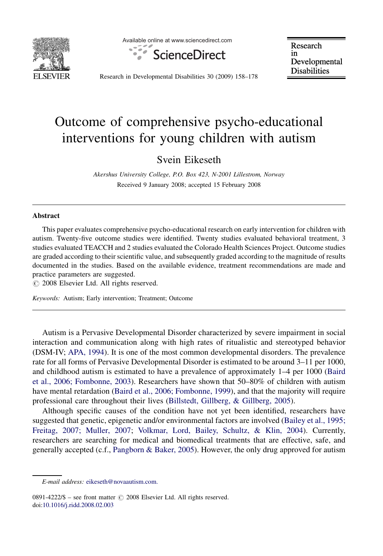

Available online at www.sciencedirect.com



Research in Developmental **Disabilities** 

Research in Developmental Disabilities 30 (2009) 158–178

# Outcome of comprehensive psycho-educational interventions for young children with autism

Svein Eikeseth

Akershus University College, P.O. Box 423, N-2001 Lillestrom, Norway Received 9 January 2008; accepted 15 February 2008

#### Abstract

This paper evaluates comprehensive psycho-educational research on early intervention for children with autism. Twenty-five outcome studies were identified. Twenty studies evaluated behavioral treatment, 3 studies evaluated TEACCH and 2 studies evaluated the Colorado Health Sciences Project. Outcome studies are graded according to their scientific value, and subsequently graded according to the magnitude of results documented in the studies. Based on the available evidence, treatment recommendations are made and practice parameters are suggested.

 $\odot$  2008 Elsevier Ltd. All rights reserved.

Keywords: Autism; Early intervention; Treatment; Outcome

Autism is a Pervasive Developmental Disorder characterized by severe impairment in social interaction and communication along with high rates of ritualistic and stereotyped behavior (DSM-IV; [APA, 1994](#page-18-0)). It is one of the most common developmental disorders. The prevalence rate for all forms of Pervasive Developmental Disorder is estimated to be around 3–11 per 1000, and childhood autism is estimated to have a prevalence of approximately 1–4 per 1000 ([Baird](#page-18-0) [et al., 2006; Fombonne, 2003](#page-18-0)). Researchers have shown that 50–80% of children with autism have mental retardation ([Baird et al., 2006; Fombonne, 1999\)](#page-18-0), and that the majority will require professional care throughout their lives [\(Billstedt, Gillberg, & Gillberg, 2005](#page-18-0)).

Although specific causes of the condition have not yet been identified, researchers have suggested that genetic, epigenetic and/or environmental factors are involved [\(Bailey et al., 1995;](#page-18-0) [Freitag, 2007; Muller, 2007](#page-18-0); [Volkmar, Lord, Bailey, Schultz, & Klin, 2004](#page-20-0)). Currently, researchers are searching for medical and biomedical treatments that are effective, safe, and generally accepted (c.f., [Pangborn & Baker, 2005](#page-20-0)). However, the only drug approved for autism

E-mail address: [eikeseth@novaautism.com.](mailto:eikeseth@novaautism.com)

 $0891-4222/\$ \$ – see front matter  $\odot$  2008 Elsevier Ltd. All rights reserved. doi[:10.1016/j.ridd.2008.02.003](http://dx.doi.org/10.1016/j.ridd.2008.02.003)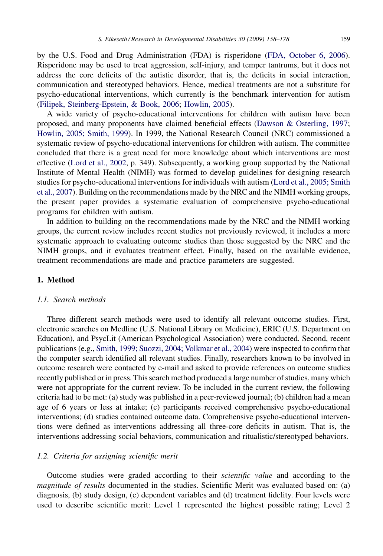by the U.S. Food and Drug Administration (FDA) is risperidone ([FDA, October 6, 2006](#page-18-0)). Risperidone may be used to treat aggression, self-injury, and temper tantrums, but it does not address the core deficits of the autistic disorder, that is, the deficits in social interaction, communication and stereotyped behaviors. Hence, medical treatments are not a substitute for psycho-educational interventions, which currently is the benchmark intervention for autism ([Filipek, Steinberg-Epstein, & Book, 2006;](#page-18-0) [Howlin, 2005\)](#page-19-0).

A wide variety of psycho-educational interventions for children with autism have been proposed, and many proponents have claimed beneficial effects [\(Dawson & Osterling, 1997](#page-18-0); [Howlin, 2005; Smith, 1999\)](#page-19-0). In 1999, the National Research Council (NRC) commissioned a systematic review of psycho-educational interventions for children with autism. The committee concluded that there is a great need for more knowledge about which interventions are most effective [\(Lord et al., 2002](#page-19-0), p. 349). Subsequently, a working group supported by the National Institute of Mental Health (NIMH) was formed to develop guidelines for designing research studies for psycho-educational interventions for individuals with autism [\(Lord et al., 2005; Smith](#page-19-0) [et al., 2007\)](#page-19-0). Building on the recommendations made by the NRC and the NIMH working groups, the present paper provides a systematic evaluation of comprehensive psycho-educational programs for children with autism.

In addition to building on the recommendations made by the NRC and the NIMH working groups, the current review includes recent studies not previously reviewed, it includes a more systematic approach to evaluating outcome studies than those suggested by the NRC and the NIMH groups, and it evaluates treatment effect. Finally, based on the available evidence, treatment recommendations are made and practice parameters are suggested.

## 1. Method

## 1.1. Search methods

Three different search methods were used to identify all relevant outcome studies. First, electronic searches on Medline (U.S. National Library on Medicine), ERIC (U.S. Department on Education), and PsycLit (American Psychological Association) were conducted. Second, recent publications (e.g., [Smith, 1999; Suozzi, 2004; Volkmar et al., 2004\)](#page-20-0) were inspected to confirm that the computer search identified all relevant studies. Finally, researchers known to be involved in outcome research were contacted by e-mail and asked to provide references on outcome studies recently published or in press. This search method produced a large number of studies, many which were not appropriate for the current review. To be included in the current review, the following criteria had to be met: (a) study was published in a peer-reviewed journal; (b) children had a mean age of 6 years or less at intake; (c) participants received comprehensive psycho-educational interventions; (d) studies contained outcome data. Comprehensive psycho-educational interventions were defined as interventions addressing all three-core deficits in autism. That is, the interventions addressing social behaviors, communication and ritualistic/stereotyped behaviors.

#### 1.2. Criteria for assigning scientific merit

Outcome studies were graded according to their scientific value and according to the magnitude of results documented in the studies. Scientific Merit was evaluated based on: (a) diagnosis, (b) study design, (c) dependent variables and (d) treatment fidelity. Four levels were used to describe scientific merit: Level 1 represented the highest possible rating; Level 2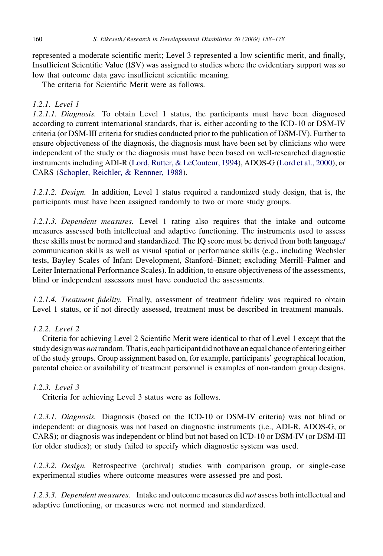represented a moderate scientific merit; Level 3 represented a low scientific merit, and finally, Insufficient Scientific Value (ISV) was assigned to studies where the evidentiary support was so low that outcome data gave insufficient scientific meaning.

The criteria for Scientific Merit were as follows.

## 1.2.1. Level 1

1.2.1.1. Diagnosis. To obtain Level 1 status, the participants must have been diagnosed according to current international standards, that is, either according to the ICD-10 or DSM-IV criteria (or DSM-III criteria for studies conducted prior to the publication of DSM-IV). Further to ensure objectiveness of the diagnosis, the diagnosis must have been set by clinicians who were independent of the study or the diagnosis must have been based on well-researched diagnostic instruments including ADI-R [\(Lord, Rutter, & LeCouteur, 1994\)](#page-19-0), ADOS-G [\(Lord et al., 2000](#page-19-0)), or CARS [\(Schopler, Reichler, & Rennner, 1988](#page-20-0)).

1.2.1.2. Design. In addition, Level 1 status required a randomized study design, that is, the participants must have been assigned randomly to two or more study groups.

1.2.1.3. Dependent measures. Level 1 rating also requires that the intake and outcome measures assessed both intellectual and adaptive functioning. The instruments used to assess these skills must be normed and standardized. The IQ score must be derived from both language/ communication skills as well as visual spatial or performance skills (e.g., including Wechsler tests, Bayley Scales of Infant Development, Stanford–Binnet; excluding Merrill–Palmer and Leiter International Performance Scales). In addition, to ensure objectiveness of the assessments, blind or independent assessors must have conducted the assessments.

1.2.1.4. Treatment fidelity. Finally, assessment of treatment fidelity was required to obtain Level 1 status, or if not directly assessed, treatment must be described in treatment manuals.

## 1.2.2. Level 2

Criteria for achieving Level 2 Scientific Merit were identical to that of Level 1 except that the study design was not random. That is, each participant did not have an equal chance of entering either of the study groups. Group assignment based on, for example, participants' geographical location, parental choice or availability of treatment personnel is examples of non-random group designs.

#### 1.2.3. Level 3

Criteria for achieving Level 3 status were as follows.

1.2.3.1. Diagnosis. Diagnosis (based on the ICD-10 or DSM-IV criteria) was not blind or independent; or diagnosis was not based on diagnostic instruments (i.e., ADI-R, ADOS-G, or CARS); or diagnosis was independent or blind but not based on ICD-10 or DSM-IV (or DSM-III for older studies); or study failed to specify which diagnostic system was used.

1.2.3.2. Design. Retrospective (archival) studies with comparison group, or single-case experimental studies where outcome measures were assessed pre and post.

1.2.3.3. Dependent measures. Intake and outcome measures did not assess both intellectual and adaptive functioning, or measures were not normed and standardized.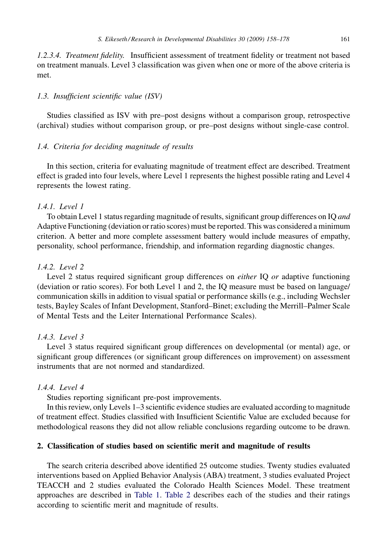1.2.3.4. Treatment fidelity. Insufficient assessment of treatment fidelity or treatment not based on treatment manuals. Level 3 classification was given when one or more of the above criteria is met.

#### 1.3. Insufficient scientific value (ISV)

Studies classified as ISV with pre–post designs without a comparison group, retrospective (archival) studies without comparison group, or pre–post designs without single-case control.

## 1.4. Criteria for deciding magnitude of results

In this section, criteria for evaluating magnitude of treatment effect are described. Treatment effect is graded into four levels, where Level 1 represents the highest possible rating and Level 4 represents the lowest rating.

#### 1.4.1. Level 1

To obtain Level 1 status regarding magnitude of results, significant group differences on IQ and Adaptive Functioning (deviation or ratio scores) must be reported. This was considered a minimum criterion. A better and more complete assessment battery would include measures of empathy, personality, school performance, friendship, and information regarding diagnostic changes.

## 1.4.2. Level 2

Level 2 status required significant group differences on *either* IQ or adaptive functioning (deviation or ratio scores). For both Level 1 and 2, the IQ measure must be based on language/ communication skills in addition to visual spatial or performance skills (e.g., including Wechsler tests, Bayley Scales of Infant Development, Stanford–Binet; excluding the Merrill–Palmer Scale of Mental Tests and the Leiter International Performance Scales).

# 1.4.3. Level 3

Level 3 status required significant group differences on developmental (or mental) age, or significant group differences (or significant group differences on improvement) on assessment instruments that are not normed and standardized.

## 1.4.4. Level 4

Studies reporting significant pre-post improvements.

In this review, only Levels 1–3 scientific evidence studies are evaluated according to magnitude of treatment effect. Studies classified with Insufficient Scientific Value are excluded because for methodological reasons they did not allow reliable conclusions regarding outcome to be drawn.

#### 2. Classification of studies based on scientific merit and magnitude of results

The search criteria described above identified 25 outcome studies. Twenty studies evaluated interventions based on Applied Behavior Analysis (ABA) treatment, 3 studies evaluated Project TEACCH and 2 studies evaluated the Colorado Health Sciences Model. These treatment approaches are described in [Table 1](#page-4-0). [Table 2](#page-6-0) describes each of the studies and their ratings according to scientific merit and magnitude of results.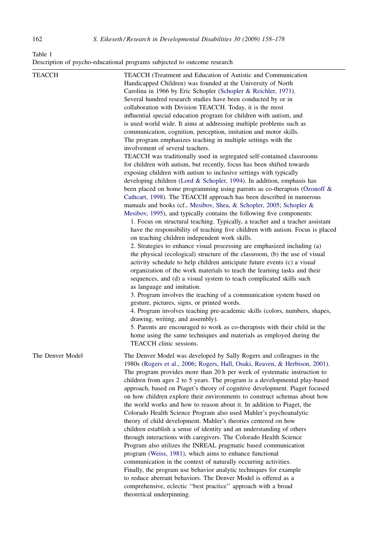<span id="page-4-0"></span>Table 1

| Table 1 |  |                                                                          |  |  |  |
|---------|--|--------------------------------------------------------------------------|--|--|--|
|         |  | Description of psycho-educational programs subjected to outcome research |  |  |  |

| TEACCH           | TEACCH (Treatment and Education of Autistic and Communication<br>Handicapped Children) was founded at the University of North<br>Carolina in 1966 by Eric Schopler (Schopler & Reichler, 1971).<br>Several hundred research studies have been conducted by or in<br>collaboration with Division TEACCH. Today, it is the most<br>influential special education program for children with autism, and<br>is used world wide. It aims at addressing multiple problems such as<br>communication, cognition, perception, imitation and motor skills.<br>The program emphasizes teaching in multiple settings with the<br>involvement of several teachers.<br>TEACCH was traditionally used in segregated self-contained classrooms<br>for children with autism, but recently, focus has been shifted towards<br>exposing children with autism to inclusive settings with typically<br>developing children (Lord & Schopler, 1994). In addition, emphasis has<br>been placed on home programming using parents as co-therapists (Ozonoff $\&$<br>Cathcart, 1998). The TEACCH approach has been described in numerous<br>manuals and books (cf., Mesibov, Shea, & Schopler, 2005; Schopler &<br>Mesibov, 1995), and typically contains the following five components:<br>1. Focus on structural teaching. Typically, a teacher and a teacher assistant<br>have the responsibility of teaching five children with autism. Focus is placed<br>on teaching children independent work skills.<br>2. Strategies to enhance visual processing are emphasized including (a)<br>the physical (ecological) structure of the classroom, (b) the use of visual<br>activity schedule to help children anticipate future events (c) a visual<br>organization of the work materials to teach the learning tasks and their<br>sequences, and (d) a visual system to teach complicated skills such<br>as language and imitation.<br>3. Program involves the teaching of a communication system based on<br>gesture, pictures, signs, or printed words.<br>4. Program involves teaching pre-academic skills (colors, numbers, shapes,<br>drawing, writing, and assembly).<br>5. Parents are encouraged to work as co-therapists with their child in the<br>home using the same techniques and materials as employed during the |
|------------------|---------------------------------------------------------------------------------------------------------------------------------------------------------------------------------------------------------------------------------------------------------------------------------------------------------------------------------------------------------------------------------------------------------------------------------------------------------------------------------------------------------------------------------------------------------------------------------------------------------------------------------------------------------------------------------------------------------------------------------------------------------------------------------------------------------------------------------------------------------------------------------------------------------------------------------------------------------------------------------------------------------------------------------------------------------------------------------------------------------------------------------------------------------------------------------------------------------------------------------------------------------------------------------------------------------------------------------------------------------------------------------------------------------------------------------------------------------------------------------------------------------------------------------------------------------------------------------------------------------------------------------------------------------------------------------------------------------------------------------------------------------------------------------------------------------------------------------------------------------------------------------------------------------------------------------------------------------------------------------------------------------------------------------------------------------------------------------------------------------------------------------------------------------------------------------------------------------------------------------------------------------------------------------------------------------|
| The Denver Model | TEACCH clinic sessions.<br>The Denver Model was developed by Sally Rogers and colleagues in the<br>1980s (Rogers et al., 2006; Rogers, Hall, Osaki, Reaven, & Herbison, 2001).<br>The program provides more than 20 h per week of systematic instruction to<br>children from ages 2 to 5 years. The program is a developmental play-based<br>approach, based on Piaget's theory of cognitive development. Piaget focused<br>on how children explore their environments to construct schemas about how<br>the world works and how to reason about it. In addition to Piaget, the<br>Colorado Health Science Program also used Mahler's psychoanalytic<br>theory of child development. Mahler's theories centered on how<br>children establish a sense of identity and an understanding of others<br>through interactions with caregivers. The Colorado Health Science<br>Program also utilizes the INREAL pragmatic based communication<br>program (Weiss, 1981), which aims to enhance functional<br>communication in the context of naturally occurring activities.<br>Finally, the program use behavior analytic techniques for example<br>to reduce aberrant behaviors. The Denver Model is offered as a<br>comprehensive, eclectic "best practice" approach with a broad<br>theoretical underpinning.                                                                                                                                                                                                                                                                                                                                                                                                                                                                                                                                                                                                                                                                                                                                                                                                                                                                                                                                                                                               |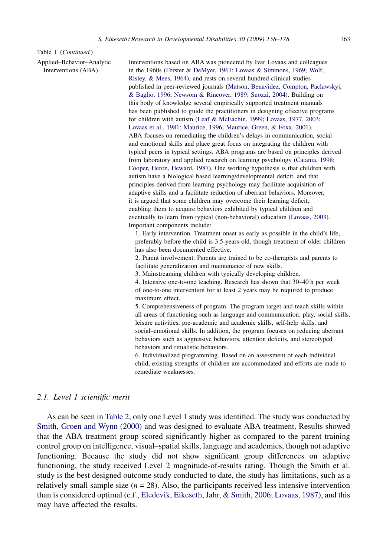| Applied-Behavior-Analytic<br>Interventions (ABA) | Interventions based on ABA was pioneered by Ivar Lovaas and colleagues<br>in the 1960s (Ferster & DeMyer, 1961; Lovaas & Simmons, 1969; Wolf,<br>Risley, & Mees, 1964), and rests on several hundred clinical studies |
|--------------------------------------------------|-----------------------------------------------------------------------------------------------------------------------------------------------------------------------------------------------------------------------|
|                                                  |                                                                                                                                                                                                                       |
|                                                  |                                                                                                                                                                                                                       |
|                                                  |                                                                                                                                                                                                                       |
|                                                  | published in peer-reviewed journals (Matson, Benavidez, Compton, Paclawskyj,                                                                                                                                          |
|                                                  | & Baglio, 1996; Newsom & Rincover, 1989; Suozzi, 2004). Building on                                                                                                                                                   |
|                                                  | this body of knowledge several empirically supported treatment manuals                                                                                                                                                |
|                                                  | has been published to guide the practitioners in designing effective programs                                                                                                                                         |
|                                                  | for children with autism (Leaf & McEachin, 1999; Lovaas, 1977, 2003;                                                                                                                                                  |
|                                                  | Lovaas et al., 1981; Maurice, 1996; Maurice, Green, & Foxx, 2001).                                                                                                                                                    |
|                                                  | ABA focuses on remediating the children's delays in communication, social                                                                                                                                             |
|                                                  | and emotional skills and place great focus on integrating the children with                                                                                                                                           |
|                                                  | typical peers in typical settings. ABA programs are based on principles derived                                                                                                                                       |
|                                                  | from laboratory and applied research on learning psychology (Catania, 1998;                                                                                                                                           |
|                                                  | Cooper, Heron, Heward, 1987). One working hypothesis is that children with                                                                                                                                            |
|                                                  | autism have a biological based learning/developmental deficit, and that                                                                                                                                               |
|                                                  | principles derived from learning psychology may facilitate acquisition of                                                                                                                                             |
|                                                  | adaptive skills and a facilitate reduction of aberrant behaviors. Moreover,                                                                                                                                           |
|                                                  | it is argued that some children may overcome their learning deficit,                                                                                                                                                  |
|                                                  | enabling them to acquire behaviors exhibited by typical children and                                                                                                                                                  |
|                                                  | eventually to learn from typical (non-behavioral) education (Lovaas, 2003).                                                                                                                                           |
|                                                  | Important components include:                                                                                                                                                                                         |
|                                                  | 1. Early intervention. Treatment onset as early as possible in the child's life,                                                                                                                                      |
|                                                  | preferably before the child is 3.5-years-old, though treatment of older children                                                                                                                                      |
|                                                  | has also been documented effective.                                                                                                                                                                                   |
|                                                  | 2. Parent involvement. Parents are trained to be co-therapists and parents to                                                                                                                                         |
|                                                  | facilitate generalization and maintenance of new skills.                                                                                                                                                              |
|                                                  | 3. Mainstreaming children with typically developing children.                                                                                                                                                         |
|                                                  | 4. Intensive one-to-one teaching. Research has shown that 30–40 h per week                                                                                                                                            |
|                                                  | of one-to-one intervention for at least 2 years may be required to produce                                                                                                                                            |
|                                                  | maximum effect.                                                                                                                                                                                                       |
|                                                  | 5. Comprehensiveness of program. The program target and teach skills within                                                                                                                                           |
|                                                  | all areas of functioning such as language and communication, play, social skills,                                                                                                                                     |
|                                                  | leisure activities, pre-academic and academic skills, self-help skills, and                                                                                                                                           |
|                                                  | social-emotional skills. In addition, the program focuses on reducing aberrant                                                                                                                                        |
|                                                  | behaviors such as aggressive behaviors, attention deficits, and stereotyped                                                                                                                                           |
|                                                  | behaviors and ritualistic behaviors.                                                                                                                                                                                  |
|                                                  | 6. Individualized programming. Based on an assessment of each individual                                                                                                                                              |
|                                                  | child, existing strengths of children are accommodated and efforts are made to<br>remediate weaknesses.                                                                                                               |

#### 2.1. Level 1 scientific merit

 $T_0$ kla 1 (Continued)

As can be seen in [Table 2,](#page-6-0) only one Level 1 study was identified. The study was conducted by [Smith, Groen and Wynn \(2000\)](#page-20-0) and was designed to evaluate ABA treatment. Results showed that the ABA treatment group scored significantly higher as compared to the parent training control group on intelligence, visual–spatial skills, language and academics, though not adaptive functioning. Because the study did not show significant group differences on adaptive functioning, the study received Level 2 magnitude-of-results rating. Though the Smith et al. study is the best designed outcome study conducted to date, the study has limitations, such as a relatively small sample size  $(n = 28)$ . Also, the participants received less intensive intervention than is considered optimal (c.f., [Eledevik, Eikeseth, Jahr, & Smith, 2006;](#page-18-0) [Lovaas, 1987\)](#page-19-0), and this may have affected the results.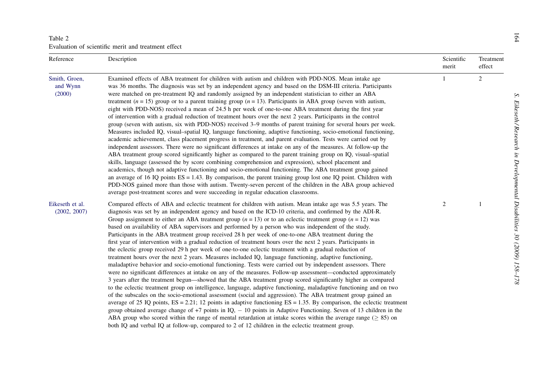<span id="page-6-0"></span>

| Table 2<br>Evaluation of scientific merit and treatment effect |                                                                                                                                                                                                                                                                                                                                                                                                                                                                                                                                                                                                                                                                                                                                                                                                                                                                                                                                                                                                                                                                                                                                                                                                                                                                                                                                                                                                                                                                                                                                                                                                                                                                                                                                                                                                                                                                                                                                                                                     |                     |                     |
|----------------------------------------------------------------|-------------------------------------------------------------------------------------------------------------------------------------------------------------------------------------------------------------------------------------------------------------------------------------------------------------------------------------------------------------------------------------------------------------------------------------------------------------------------------------------------------------------------------------------------------------------------------------------------------------------------------------------------------------------------------------------------------------------------------------------------------------------------------------------------------------------------------------------------------------------------------------------------------------------------------------------------------------------------------------------------------------------------------------------------------------------------------------------------------------------------------------------------------------------------------------------------------------------------------------------------------------------------------------------------------------------------------------------------------------------------------------------------------------------------------------------------------------------------------------------------------------------------------------------------------------------------------------------------------------------------------------------------------------------------------------------------------------------------------------------------------------------------------------------------------------------------------------------------------------------------------------------------------------------------------------------------------------------------------------|---------------------|---------------------|
| Reference                                                      | Description                                                                                                                                                                                                                                                                                                                                                                                                                                                                                                                                                                                                                                                                                                                                                                                                                                                                                                                                                                                                                                                                                                                                                                                                                                                                                                                                                                                                                                                                                                                                                                                                                                                                                                                                                                                                                                                                                                                                                                         | Scientific<br>merit | Treatment<br>effect |
| Smith, Groen,<br>and Wynn<br>(2000)                            | Examined effects of ABA treatment for children with autism and children with PDD-NOS. Mean intake age<br>was 36 months. The diagnosis was set by an independent agency and based on the DSM-III criteria. Participants<br>were matched on pre-treatment IQ and randomly assigned by an independent statistician to either an ABA<br>treatment ( $n = 15$ ) group or to a parent training group ( $n = 13$ ). Participants in ABA group (seven with autism,<br>eight with PDD-NOS) received a mean of 24.5 h per week of one-to-one ABA treatment during the first year<br>of intervention with a gradual reduction of treatment hours over the next 2 years. Participants in the control<br>group (seven with autism, six with PDD-NOS) received 3–9 months of parent training for several hours per week.<br>Measures included IQ, visual–spatial IQ, language functioning, adaptive functioning, socio-emotional functioning,<br>academic achievement, class placement progress in treatment, and parent evaluation. Tests were carried out by<br>independent assessors. There were no significant differences at intake on any of the measures. At follow-up the<br>ABA treatment group scored significantly higher as compared to the parent training group on IQ, visual–spatial<br>skills, language (assessed the by score combining comprehension and expression), school placement and<br>academics, though not adaptive functioning and socio-emotional functioning. The ABA treatment group gained<br>an average of 16 IQ points $ES = 1.43$ . By comparison, the parent training group lost one IQ point. Children with<br>PDD-NOS gained more than those with autism. Twenty-seven percent of the children in the ABA group achieved<br>average post-treatment scores and were succeeding in regular education classrooms.                                                                                                                                              | 1.                  | $\overline{2}$      |
| Eikeseth et al.<br>(2002, 2007)                                | Compared effects of ABA and eclectic treatment for children with autism. Mean intake age was 5.5 years. The<br>diagnosis was set by an independent agency and based on the ICD-10 criteria, and confirmed by the ADI-R.<br>Group assignment to either an ABA treatment group $(n = 13)$ or to an eclectic treatment group $(n = 12)$ was<br>based on availability of ABA supervisors and performed by a person who was independent of the study.<br>Participants in the ABA treatment group received 28 h per week of one-to-one ABA treatment during the<br>first year of intervention with a gradual reduction of treatment hours over the next 2 years. Participants in<br>the eclectic group received 29 h per week of one-to-one eclectic treatment with a gradual reduction of<br>treatment hours over the next 2 years. Measures included IQ, language functioning, adaptive functioning,<br>maladaptive behavior and socio-emotional functioning. Tests were carried out by independent assessors. There<br>were no significant differences at intake on any of the measures. Follow-up assessment—conducted approximately<br>3 years after the treatment begun—showed that the ABA treatment group scored significantly higher as compared<br>to the eclectic treatment group on intelligence, language, adaptive functioning, maladaptive functioning and on two<br>of the subscales on the socio-emotional assessment (social and aggression). The ABA treatment group gained an<br>average of 25 IQ points, $ES = 2.21$ ; 12 points in adaptive functioning $ES = 1.35$ . By comparison, the eclectic treatment<br>group obtained average change of $+7$ points in $IQ$ , $-10$ points in Adaptive Functioning. Seven of 13 children in the<br>ABA group who scored within the range of mental retardation at intake scores within the average range ( $> 85$ ) on<br>both IQ and verbal IQ at follow-up, compared to 2 of 12 children in the eclectic treatment group. | 2                   | -1                  |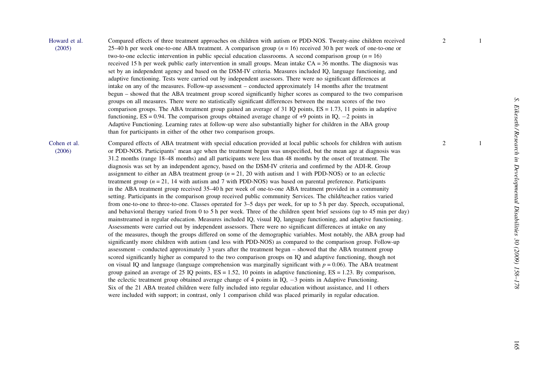[Howard](#page-19-0) et al.

[\(2005\)](#page-19-0)

Compared effects of three treatment approaches on children with autism or PDD-NOS. Twenty-nine children received 25–40 h per week one-to-one ABA treatment. A comparison group  $(n = 16)$  received 30 h per week of one-to-one or two-to-one eclectic intervention in public special education classrooms. A second comparison group ( $n = 16$ ) received 15 h per week public early intervention in small groups. Mean intake CA <sup>=</sup> 36 months. The diagnosis was set by an independent agency and based on the DSM-IV criteria. Measures included IQ, language functioning, and adaptive functioning. Tests were carried out by independent assessors. There were no significant differences at intake on any of the measures. Follow-up assessment – conducted approximately 14 months after the treatment begun – showed that the ABA treatment group scored significantly higher scores as compared to the two comparison groups on all measures. There were no statistically significant differences between the mean scores of the two comparison groups. The ABA treatment group gained an average of 31 IQ points, ES <sup>=</sup> 1.73, 11 points in adaptive functioning,  $ES = 0.94$ . The comparison groups obtained average change of +9 points in IQ,  $-2$  points in Adaptive Functioning. Learning rates at follow-up were also substantially higher for children in the ABA group than for participants in either of the other two comparison groups.

[Cohen](#page-18-0) et al.[\(2006\)](#page-18-0)

Compared effects of ABA treatment with special education provided at local public schools for children with autism or PDD-NOS. Participants' mean age when the treatment begun was unspecified, but the mean age at diagnosis was 31.2 months (range 18–48 months) and all participants were less than 48 months by the onset of treatment. The diagnosis was set by an independent agency, based on the DSM-IV criteria and confirmed by the ADI-R. Group assignment to either an ABA treatment group ( $n = 21$ , 20 with autism and 1 with PDD-NOS) or to an eclectic treatment group  $(n = 21, 14$  with autism and 7 with PDD-NOS) was based on parental preference. Participants in the ABA treatment group received 35–40 h per week of one-to-one ABA treatment provided in <sup>a</sup> community setting. Participants in the comparison group received public community Services. The child/teacher ratios varied from one-to-one to three-to-one. Classes operated for 3–5 days per week, for up to 5 h per day. Speech, occupational, and behavioral therapy varied from 0 to 5 h per week. Three of the children spen<sup>t</sup> brief sessions (up to 45 min per day) mainstreamed in regular education. Measures included IQ, visual IQ, language functioning, and adaptive functioning. Assessments were carried out by independent assessors. There were no significant differences at intake on any of the measures, though the groups differed on some of the demographic variables. Most notably, the ABA group had significantly more children with autism (and less with PDD-NOS) as compared to the comparison group. Follow-up assessment – conducted approximately 3 years after the treatment begun – showed that the ABA treatment group scored significantly higher as compared to the two comparison groups on IQ and adaptive functioning, though not on visual IQ and language (language comprehension was marginally significant with  $p = 0.06$ ). The ABA treatment group gained an average of 25 IQ points,  $ES = 1.52$ , 10 points in adaptive functioning,  $ES = 1.23$ . By comparison, the eclectic treatment group obtained average change of 4 points in IQ, -3 points in Adaptive Functioning. Six of the 21 ABA treated children were fully included into regular education without assistance, and 11 others were included with support; in contrast, only 1 comparison child was placed primarily in regular education.

 $\mathbf{S}$ S. Eikeseth / Research in Developmental Disabilities 30 (2009) 158–178 Eikeseth/Research in Developmental Disabilities 30 (2009) 158-178

2 1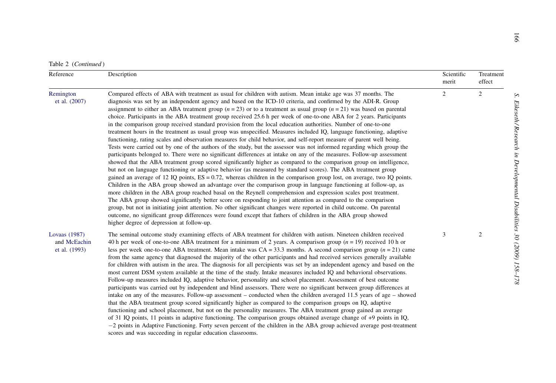|  | Table 2 (Continued) |  |
|--|---------------------|--|
|  |                     |  |

| Reference                                      | Description                                                                                                                                                                                                                                                                                                                                                                                                                                                                                                                                                                                                                                                                                                                                                                                                                                                                                                                                                                                                                                                                                                                                                                                                                                                                                                                                                                                                                                                                                                                                                                                                                                                                                                                                                                                                                                                                                                                                                                                                                                                                                                                            | Scientific<br>merit | Treatment<br>effect |
|------------------------------------------------|----------------------------------------------------------------------------------------------------------------------------------------------------------------------------------------------------------------------------------------------------------------------------------------------------------------------------------------------------------------------------------------------------------------------------------------------------------------------------------------------------------------------------------------------------------------------------------------------------------------------------------------------------------------------------------------------------------------------------------------------------------------------------------------------------------------------------------------------------------------------------------------------------------------------------------------------------------------------------------------------------------------------------------------------------------------------------------------------------------------------------------------------------------------------------------------------------------------------------------------------------------------------------------------------------------------------------------------------------------------------------------------------------------------------------------------------------------------------------------------------------------------------------------------------------------------------------------------------------------------------------------------------------------------------------------------------------------------------------------------------------------------------------------------------------------------------------------------------------------------------------------------------------------------------------------------------------------------------------------------------------------------------------------------------------------------------------------------------------------------------------------------|---------------------|---------------------|
| Remington<br>et al. (2007)                     | Compared effects of ABA with treatment as usual for children with autism. Mean intake age was 37 months. The<br>diagnosis was set by an independent agency and based on the ICD-10 criteria, and confirmed by the ADI-R. Group<br>assignment to either an ABA treatment group ( $n = 23$ ) or to a treatment as usual group ( $n = 21$ ) was based on parental<br>choice. Participants in the ABA treatment group received 25.6 h per week of one-to-one ABA for 2 years. Participants<br>in the comparison group received standard provision from the local education authorities. Number of one-to-one<br>treatment hours in the treatment as usual group was unspecified. Measures included IQ, language functioning, adaptive<br>functioning, rating scales and observation measures for child behavior, and self-report measure of parent well being.<br>Tests were carried out by one of the authors of the study, but the assessor was not informed regarding which group the<br>participants belonged to. There were no significant differences at intake on any of the measures. Follow-up assessment<br>showed that the ABA treatment group scored significantly higher as compared to the comparison group on intelligence,<br>but not on language functioning or adaptive behavior (as measured by standard scores). The ABA treatment group<br>gained an average of 12 IQ points, $ES = 0.72$ , whereas children in the comparison group lost, on average, two IQ points.<br>Children in the ABA group showed an advantage over the comparison group in language functioning at follow-up, as<br>more children in the ABA group reached basal on the Reynell comprehension and expression scales post treatment.<br>The ABA group showed significantly better score on responding to joint attention as compared to the comparison<br>group, but not in initiating joint attention. No other significant changes were reported in child outcome. On parental<br>outcome, no significant group differences were found except that fathers of children in the ABA group showed<br>higher degree of depression at follow-up. | $\overline{2}$      | 2                   |
| Lovaas (1987)<br>and McEachin<br>et al. (1993) | The seminal outcome study examining effects of ABA treatment for children with autism. Nineteen children received<br>40 h per week of one-to-one ABA treatment for a minimum of 2 years. A comparison group $(n = 19)$ received 10 h or<br>less per week one-to-one ABA treatment. Mean intake was $CA = 33.3$ months. A second comparison group ( $n = 21$ ) came<br>from the same agency that diagnosed the majority of the other participants and had received services generally available<br>for children with autism in the area. The diagnosis for all percipients was set by an independent agency and based on the<br>most current DSM system available at the time of the study. Intake measures included IQ and behavioral observations.<br>Follow-up measures included IQ, adaptive behavior, personality and school placement. Assessment of best outcome<br>participants was carried out by independent and blind assessors. There were no significant between group differences at<br>intake on any of the measures. Follow-up assessment – conducted when the children averaged 11.5 years of age – showed<br>that the ABA treatment group scored significantly higher as compared to the comparison groups on IQ, adaptive<br>functioning and school placement, but not on the personality measures. The ABA treatment group gained an average<br>of 31 IQ points, 11 points in adaptive functioning. The comparison groups obtained average change of +9 points in IQ,<br>$-2$ points in Adaptive Functioning. Forty seven percent of the children in the ABA group achieved average post-treatment<br>scores and was succeeding in regular education classrooms.                                                                                                                                                                                                                                                                                                                                                                                                                                                    | 3                   | 2                   |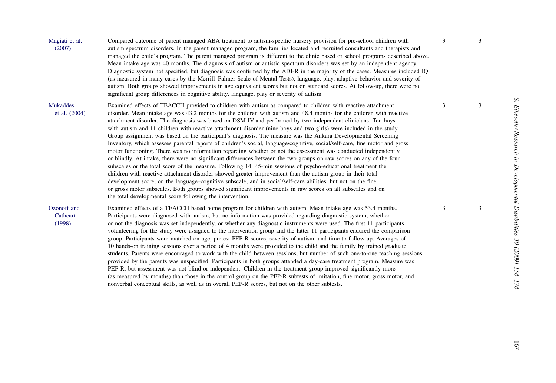| Magiati et al.<br>(2007)           | Compared outcome of parent managed ABA treatment to autism-specific nursery provision for pre-school children with<br>autism spectrum disorders. In the parent managed program, the families located and recruited consultants and therapists and<br>managed the child's program. The parent managed program is different to the clinic based or school programs described above.<br>Mean intake age was 40 months. The diagnosis of autism or autistic spectrum disorders was set by an independent agency.<br>Diagnostic system not specified, but diagnosis was confirmed by the ADI-R in the majority of the cases. Measures included IQ<br>(as measured in many cases by the Merrill–Palmer Scale of Mental Tests), language, play, adaptive behavior and severity of<br>autism. Both groups showed improvements in age equivalent scores but not on standard scores. At follow-up, there were no<br>significant group differences in cognitive ability, language, play or severity of autism.                                                                                                                                                                                                                                                                                                                                                                                                                                                                                                  | 3 | 3 |
|------------------------------------|------------------------------------------------------------------------------------------------------------------------------------------------------------------------------------------------------------------------------------------------------------------------------------------------------------------------------------------------------------------------------------------------------------------------------------------------------------------------------------------------------------------------------------------------------------------------------------------------------------------------------------------------------------------------------------------------------------------------------------------------------------------------------------------------------------------------------------------------------------------------------------------------------------------------------------------------------------------------------------------------------------------------------------------------------------------------------------------------------------------------------------------------------------------------------------------------------------------------------------------------------------------------------------------------------------------------------------------------------------------------------------------------------------------------------------------------------------------------------------------------------|---|---|
| <b>Mukaddes</b><br>et al. $(2004)$ | Examined effects of TEACCH provided to children with autism as compared to children with reactive attachment<br>disorder. Mean intake age was 43.2 months for the children with autism and 48.4 months for the children with reactive<br>attachment disorder. The diagnosis was based on DSM-IV and performed by two independent clinicians. Ten boys<br>with autism and 11 children with reactive attachment disorder (nine boys and two girls) were included in the study.<br>Group assignment was based on the participant's diagnosis. The measure was the Ankara Developmental Screening<br>Inventory, which assesses parental reports of children's social, language/cognitive, social/self-care, fine motor and gross<br>motor functioning. There was no information regarding whether or not the assessment was conducted independently<br>or blindly. At intake, there were no significant differences between the two groups on raw scores on any of the four<br>subscales or the total score of the measure. Following 14, 45-min sessions of psycho-educational treatment the<br>children with reactive attachment disorder showed greater improvement than the autism group in their total<br>development score, on the language–cognitive subscale, and in social/self-care abilities, but not on the fine<br>or gross motor subscales. Both groups showed significant improvements in raw scores on all subscales and on<br>the total developmental score following the intervention. | 3 | 3 |
| Ozonoff and<br>Cathcart<br>(1998)  | Examined effects of a TEACCH based home program for children with autism. Mean intake age was 53.4 months.<br>Participants were diagnosed with autism, but no information was provided regarding diagnostic system, whether<br>or not the diagnosis was set independently, or whether any diagnostic instruments were used. The first 11 participants<br>volunteering for the study were assigned to the intervention group and the latter 11 participants endured the comparison<br>group. Participants were matched on age, pretest PEP-R scores, severity of autism, and time to follow-up. Averages of<br>10 hands-on training sessions over a period of 4 months were provided to the child and the family by trained graduate<br>students. Parents were encouraged to work with the child between sessions, but number of such one-to-one teaching sessions<br>provided by the parents was unspecified. Participants in both groups attended a day-care treatment program. Measure was<br>PEP-R, but assessment was not blind or independent. Children in the treatment group improved significantly more<br>(as measured by months) than those in the control group on the PEP-R subtests of imitation, fine motor, gross motor, and<br>nonverbal conceptual skills, as well as in overall PEP-R scores, but not on the other subtests.                                                                                                                                                       | 3 | 3 |

167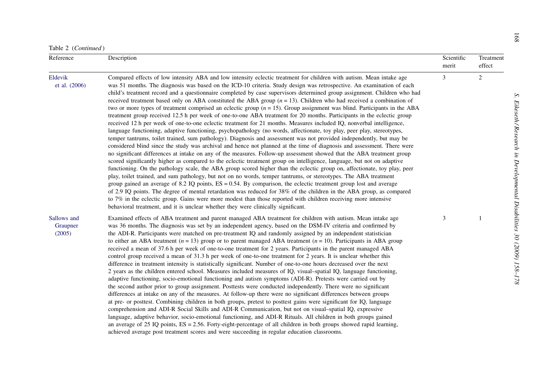| Table 2 | (Continued) |  |
|---------|-------------|--|
|         |             |  |

| Reference                         | Description                                                                                                                                                                                                                                                                                                                                                                                                                                                                                                                                                                                                                                                                                                                                                                                                                                                                                                                                                                                                                                                                                                                                                                                                                                                                                                                                                                                                                                                                                                                                                                                                                                                                                                                                                                                                                                                                                                                                                                                                                                                                                                                                                                                                                  | Scientific<br>merit | Treatment<br>effect |
|-----------------------------------|------------------------------------------------------------------------------------------------------------------------------------------------------------------------------------------------------------------------------------------------------------------------------------------------------------------------------------------------------------------------------------------------------------------------------------------------------------------------------------------------------------------------------------------------------------------------------------------------------------------------------------------------------------------------------------------------------------------------------------------------------------------------------------------------------------------------------------------------------------------------------------------------------------------------------------------------------------------------------------------------------------------------------------------------------------------------------------------------------------------------------------------------------------------------------------------------------------------------------------------------------------------------------------------------------------------------------------------------------------------------------------------------------------------------------------------------------------------------------------------------------------------------------------------------------------------------------------------------------------------------------------------------------------------------------------------------------------------------------------------------------------------------------------------------------------------------------------------------------------------------------------------------------------------------------------------------------------------------------------------------------------------------------------------------------------------------------------------------------------------------------------------------------------------------------------------------------------------------------|---------------------|---------------------|
| Eldevik<br>et al. (2006)          | Compared effects of low intensity ABA and low intensity eclectic treatment for children with autism. Mean intake age<br>was 51 months. The diagnosis was based on the ICD-10 criteria. Study design was retrospective. An examination of each<br>child's treatment record and a questionnaire completed by case supervisors determined group assignment. Children who had<br>received treatment based only on ABA constituted the ABA group $(n = 13)$ . Children who had received a combination of<br>two or more types of treatment comprised an eclectic group $(n = 15)$ . Group assignment was blind. Participants in the ABA<br>treatment group received 12.5 h per week of one-to-one ABA treatment for 20 months. Participants in the eclectic group<br>received 12 h per week of one-to-one eclectic treatment for 21 months. Measures included IQ, nonverbal intelligence,<br>language functioning, adaptive functioning, psychopathology (no words, affectionate, toy play, peer play, stereotypes,<br>temper tantrums, toilet trained, sum pathology). Diagnosis and assessment was not provided independently, but may be<br>considered blind since the study was archival and hence not planned at the time of diagnosis and assessment. There were<br>no significant differences at intake on any of the measures. Follow-up assessment showed that the ABA treatment group<br>scored significantly higher as compared to the eclectic treatment group on intelligence, language, but not on adaptive<br>functioning. On the pathology scale, the ABA group scored higher than the eclectic group on, affectionate, toy play, peer<br>play, toilet trained, and sum pathology, but not on no words, temper tantrums, or stereotypes. The ABA treatment<br>group gained an average of 8.2 IQ points, $ES = 0.54$ . By comparison, the eclectic treatment group lost and average<br>of 2.9 IQ points. The degree of mental retardation was reduced for 38% of the children in the ABA group, as compared<br>to 7% in the eclectic group. Gains were more modest than those reported with children receiving more intensive<br>behavioral treatment, and it is unclear whether they were clinically significant. | $\overline{3}$      | 2                   |
| Sallows and<br>Graupner<br>(2005) | Examined effects of ABA treatment and parent managed ABA treatment for children with autism. Mean intake age<br>was 36 months. The diagnosis was set by an independent agency, based on the DSM-IV criteria and confirmed by<br>the ADI-R. Participants were matched on pre-treatment IQ and randomly assigned by an independent statistician<br>to either an ABA treatment $(n = 13)$ group or to parent managed ABA treatment $(n = 10)$ . Participants in ABA group<br>received a mean of 37.6 h per week of one-to-one treatment for 2 years. Participants in the parent managed ABA<br>control group received a mean of 31.3 h per week of one-to-one treatment for 2 years. It is unclear whether this<br>difference in treatment intensity is statistically significant. Number of one-to-one hours decreased over the next<br>2 years as the children entered school. Measures included measures of IQ, visual–spatial IQ, language functioning,<br>adaptive functioning, socio-emotional functioning and autism symptoms (ADI-R). Pretests were carried out by<br>the second author prior to group assignment. Posttests were conducted independently. There were no significant<br>differences at intake on any of the measures. At follow-up there were no significant differences between groups<br>at pre- or posttest. Combining children in both groups, pretest to posttest gains were significant for IQ, language<br>comprehension and ADI-R Social Skills and ADI-R Communication, but not on visual-spatial IQ, expressive<br>language, adaptive behavior, socio-emotional functioning, and ADI-R Rituals. All children in both groups gained<br>an average of 25 IQ points, $ES = 2.56$ . Forty-eight-percentage of all children in both groups showed rapid learning,<br>achieved average post treatment scores and were succeeding in regular education classrooms.                                                                                                                                                                                                                                                                                                                                   | 3                   | $\mathbf{1}$        |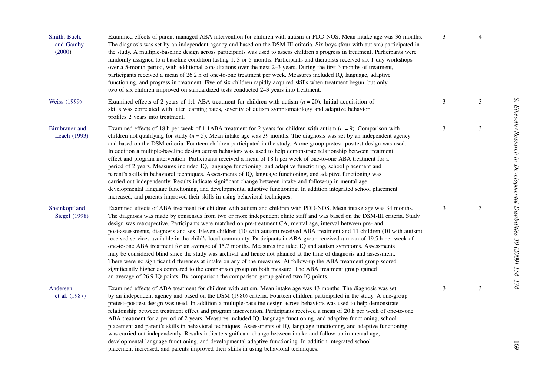| Smith, Buch,<br>and Gamby<br>(2000) | Examined effects of parent managed ABA intervention for children with autism or PDD-NOS. Mean intake age was 36 months.<br>The diagnosis was set by an independent agency and based on the DSM-III criteria. Six boys (four with autism) participated in<br>the study. A multiple-baseline design across participants was used to assess children's progress in treatment. Participants were<br>randomly assigned to a baseline condition lasting 1, 3 or 5 months. Participants and therapists received six 1-day workshops<br>over a 5-month period, with additional consultations over the next 2–3 years. During the first 3 months of treatment,<br>participants received a mean of 26.2 h of one-to-one treatment per week. Measures included IQ, language, adaptive<br>functioning, and progress in treatment. Five of six children rapidly acquired skills when treatment begun, but only<br>two of six children improved on standardized tests conducted 2–3 years into treatment.                                                                                                                                                                                                               | 3 | $\overline{4}$ |
|-------------------------------------|-----------------------------------------------------------------------------------------------------------------------------------------------------------------------------------------------------------------------------------------------------------------------------------------------------------------------------------------------------------------------------------------------------------------------------------------------------------------------------------------------------------------------------------------------------------------------------------------------------------------------------------------------------------------------------------------------------------------------------------------------------------------------------------------------------------------------------------------------------------------------------------------------------------------------------------------------------------------------------------------------------------------------------------------------------------------------------------------------------------------------------------------------------------------------------------------------------------|---|----------------|
| <b>Weiss</b> (1999)                 | Examined effects of 2 years of 1:1 ABA treatment for children with autism $(n = 20)$ . Initial acquisition of<br>skills was correlated with later learning rates, severity of autism symptomatology and adaptive behavior<br>profiles 2 years into treatment.                                                                                                                                                                                                                                                                                                                                                                                                                                                                                                                                                                                                                                                                                                                                                                                                                                                                                                                                             | 3 | 3              |
| Birnbrauer and<br>Leach (1993)      | Examined effects of 18 h per week of 1:1ABA treatment for 2 years for children with autism $(n = 9)$ . Comparison with<br>children not qualifying for study ( $n = 5$ ). Mean intake age was 39 months. The diagnosis was set by an independent agency<br>and based on the DSM criteria. Fourteen children participated in the study. A one-group pretest-posttest design was used.<br>In addition a multiple-baseline design across behaviors was used to help demonstrate relationship between treatment<br>effect and program intervention. Participants received a mean of 18 h per week of one-to-one ABA treatment for a<br>period of 2 years. Measures included IQ, language functioning, and adaptive functioning, school placement and<br>parent's skills in behavioral techniques. Assessments of IQ, language functioning, and adaptive functioning was<br>carried out independently. Results indicate significant change between intake and follow-up in mental age,<br>developmental language functioning, and developmental adaptive functioning. In addition integrated school placement<br>increased, and parents improved their skills in using behavioral techniques.                   | 3 | 3              |
| Sheinkopf and<br>Siegel (1998)      | Examined effects of ABA treatment for children with autism and children with PDD-NOS. Mean intake age was 34 months.<br>The diagnosis was made by consensus from two or more independent clinic staff and was based on the DSM-III criteria. Study<br>design was retrospective. Participants were matched on pre-treatment CA, mental age, interval between pre- and<br>post-assessments, diagnosis and sex. Eleven children (10 with autism) received ABA treatment and 11 children (10 with autism)<br>received services available in the child's local community. Participants in ABA group received a mean of 19.5 h per week of<br>one-to-one ABA treatment for an average of 15.7 months. Measures included IQ and autism symptoms. Assessments<br>may be considered blind since the study was archival and hence not planned at the time of diagnosis and assessment.<br>There were no significant differences at intake on any of the measures. At follow-up the ABA treatment group scored<br>significantly higher as compared to the comparison group on both measure. The ABA treatment group gained<br>an average of 26.9 IQ points. By comparison the comparison group gained two IQ points. | 3 | 3              |
| Andersen<br>et al. (1987)           | Examined effects of ABA treatment for children with autism. Mean intake age was 43 months. The diagnosis was set<br>by an independent agency and based on the DSM (1980) criteria. Fourteen children participated in the study. A one-group<br>pretest-posttest design was used. In addition a multiple-baseline design across behaviors was used to help demonstrate<br>relationship between treatment effect and program intervention. Participants received a mean of 20 h per week of one-to-one<br>ABA treatment for a period of 2 years. Measures included IQ, language functioning, and adaptive functioning, school<br>placement and parent's skills in behavioral techniques. Assessments of IQ, language functioning, and adaptive functioning<br>was carried out independently. Results indicate significant change between intake and follow-up in mental age,<br>developmental language functioning, and developmental adaptive functioning. In addition integrated school<br>placement increased, and parents improved their skills in using behavioral techniques.                                                                                                                         | 3 | 3              |

169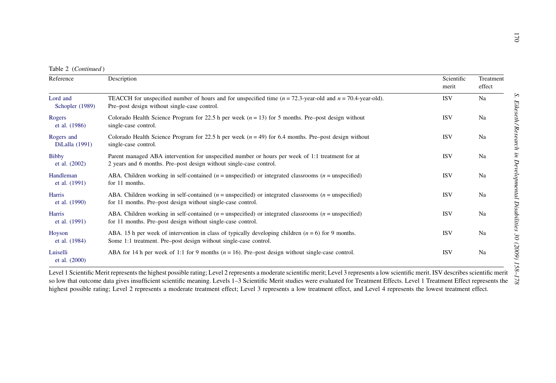| Table 2 (Continued)           |                                                                                                                                                                           |                     |                     |
|-------------------------------|---------------------------------------------------------------------------------------------------------------------------------------------------------------------------|---------------------|---------------------|
| Reference                     | Description                                                                                                                                                               | Scientific<br>merit | Treatment<br>effect |
| Lord and<br>Schopler (1989)   | TEACCH for unspecified number of hours and for unspecified time $(n = 72.3$ -year-old and $n = 70.4$ -year-old).<br>Pre-post design without single-case control.          | <b>ISV</b>          | Na                  |
| Rogers<br>et al. (1986)       | Colorado Health Science Program for 22.5 h per week $(n = 13)$ for 5 months. Pre–post design without<br>single-case control.                                              | <b>ISV</b>          | Na                  |
| Rogers and<br>DiLalla (1991)  | Colorado Health Science Program for 22.5 h per week $(n = 49)$ for 6.4 months. Pre–post design without<br>single-case control.                                            | <b>ISV</b>          | Na                  |
| <b>Bibby</b><br>et al. (2002) | Parent managed ABA intervention for unspecified number or hours per week of 1:1 treatment for at<br>2 years and 6 months. Pre-post design without single-case control.    | <b>ISV</b>          | Na                  |
| Handleman<br>et al. (1991)    | ABA. Children working in self-contained ( $n =$ unspecified) or integrated classrooms ( $n =$ unspecified)<br>for 11 months.                                              | <b>ISV</b>          | Na                  |
| Harris<br>et al. (1990)       | ABA. Children working in self-contained ( $n =$ unspecified) or integrated classrooms ( $n =$ unspecified)<br>for 11 months. Pre-post design without single-case control. | <b>ISV</b>          | Na                  |
| Harris<br>et al. (1991)       | ABA. Children working in self-contained ( $n =$ unspecified) or integrated classrooms ( $n =$ unspecified)<br>for 11 months. Pre-post design without single-case control. | <b>ISV</b>          | Na                  |
| Hoyson<br>et al. (1984)       | ABA. 15 h per week of intervention in class of typically developing children $(n = 6)$ for 9 months.<br>Some 1:1 treatment. Pre-post design without single-case control.  | <b>ISV</b>          | Na                  |
| Luiselli<br>et al. $(2000)$   | ABA for 14 h per week of 1:1 for 9 months ( $n = 16$ ). Pre-post design without single-case control.                                                                      | <b>ISV</b>          | Na                  |

highest possible rating; Level 2 represents <sup>a</sup> moderate treatment effect; Level 3 represents <sup>a</sup> low treatment effect, and Level 4 represents the lowest treatment effect.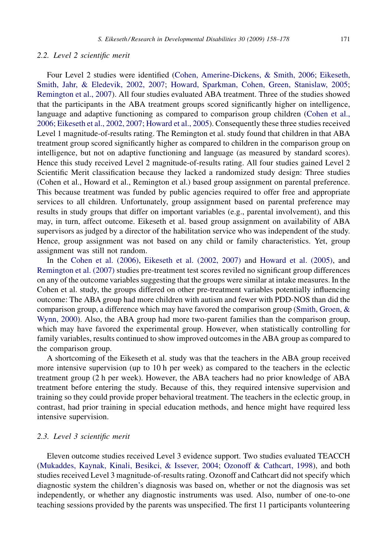#### 2.2. Level 2 scientific merit

Four Level 2 studies were identified ([Cohen, Amerine-Dickens, & Smith, 2006](#page-18-0); [Eikeseth,](#page-18-0) [Smith, Jahr, & Eledevik, 2002, 2007](#page-18-0); [Howard, Sparkman, Cohen, Green, Stanislaw, 2005](#page-19-0); [Remington et al., 2007\)](#page-20-0). All four studies evaluated ABA treatment. Three of the studies showed that the participants in the ABA treatment groups scored significantly higher on intelligence, language and adaptive functioning as compared to comparison group children ([Cohen et al.,](#page-18-0) [2006; Eikeseth et al., 2002, 2007; Howard et al., 2005\)](#page-18-0). Consequently these three studies received Level 1 magnitude-of-results rating. The Remington et al. study found that children in that ABA treatment group scored significantly higher as compared to children in the comparison group on intelligence, but not on adaptive functioning and language (as measured by standard scores). Hence this study received Level 2 magnitude-of-results rating. All four studies gained Level 2 Scientific Merit classification because they lacked a randomized study design: Three studies (Cohen et al., Howard et al., Remington et al.) based group assignment on parental preference. This because treatment was funded by public agencies required to offer free and appropriate services to all children. Unfortunately, group assignment based on parental preference may results in study groups that differ on important variables (e.g., parental involvement), and this may, in turn, affect outcome. Eikeseth et al. based group assignment on availability of ABA supervisors as judged by a director of the habilitation service who was independent of the study. Hence, group assignment was not based on any child or family characteristics. Yet, group assignment was still not random.

In the [Cohen et al. \(2006\),](#page-18-0) [Eikeseth et al. \(2002, 2007\)](#page-18-0) and [Howard et al. \(2005\),](#page-19-0) and [Remington et al. \(2007\)](#page-20-0) studies pre-treatment test scores reviled no significant group differences on any of the outcome variables suggesting that the groups were similar at intake measures. In the Cohen et al. study, the groups differed on other pre-treatment variables potentially influencing outcome: The ABA group had more children with autism and fewer with PDD-NOS than did the comparison group, a difference which may have favored the comparison group [\(Smith, Groen, &](#page-20-0) [Wynn, 2000\)](#page-20-0). Also, the ABA group had more two-parent families than the comparison group, which may have favored the experimental group. However, when statistically controlling for family variables, results continued to show improved outcomes in the ABA group as compared to the comparison group.

A shortcoming of the Eikeseth et al. study was that the teachers in the ABA group received more intensive supervision (up to 10 h per week) as compared to the teachers in the eclectic treatment group (2 h per week). However, the ABA teachers had no prior knowledge of ABA treatment before entering the study. Because of this, they required intensive supervision and training so they could provide proper behavioral treatment. The teachers in the eclectic group, in contrast, had prior training in special education methods, and hence might have required less intensive supervision.

#### 2.3. Level 3 scientific merit

Eleven outcome studies received Level 3 evidence support. Two studies evaluated TEACCH ([Mukaddes, Kaynak, Kinali, Besikci, & Issever, 2004](#page-20-0); [Ozonoff & Cathcart, 1998](#page-20-0)), and both studies received Level 3 magnitude-of-results rating. Ozonoff and Cathcart did not specify which diagnostic system the children's diagnosis was based on, whether or not the diagnosis was set independently, or whether any diagnostic instruments was used. Also, number of one-to-one teaching sessions provided by the parents was unspecified. The first 11 participants volunteering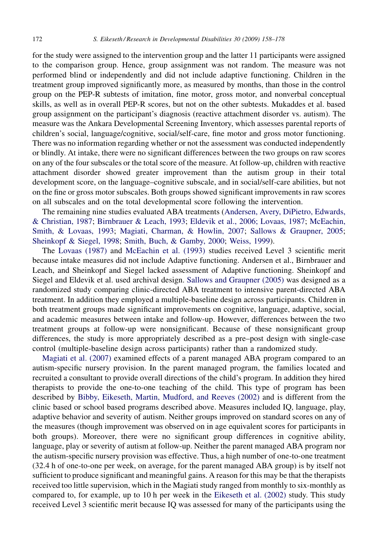for the study were assigned to the intervention group and the latter 11 participants were assigned to the comparison group. Hence, group assignment was not random. The measure was not performed blind or independently and did not include adaptive functioning. Children in the treatment group improved significantly more, as measured by months, than those in the control group on the PEP-R subtests of imitation, fine motor, gross motor, and nonverbal conceptual skills, as well as in overall PEP-R scores, but not on the other subtests. Mukaddes et al. based group assignment on the participant's diagnosis (reactive attachment disorder vs. autism). The measure was the Ankara Developmental Screening Inventory, which assesses parental reports of children's social, language/cognitive, social/self-care, fine motor and gross motor functioning. There was no information regarding whether or not the assessment was conducted independently or blindly. At intake, there were no significant differences between the two groups on raw scores on any of the four subscales or the total score of the measure. At follow-up, children with reactive attachment disorder showed greater improvement than the autism group in their total development score, on the language–cognitive subscale, and in social/self-care abilities, but not on the fine or gross motor subscales. Both groups showed significant improvements in raw scores on all subscales and on the total developmental score following the intervention.

The remaining nine studies evaluated ABA treatments [\(Andersen, Avery, DiPietro, Edwards,](#page-18-0) [& Christian, 1987;](#page-18-0) [Birnbrauer & Leach, 1993;](#page-18-0) [Eldevik et al., 2006; Lovaas, 1987;](#page-18-0) [McEachin,](#page-20-0) [Smith, & Lovaas, 1993](#page-20-0); [Magiati, Charman, & Howlin, 2007;](#page-19-0) [Sallows & Graupner, 2005](#page-20-0); [Sheinkopf & Siegel, 1998;](#page-20-0) [Smith, Buch, & Gamby, 2000](#page-20-0); [Weiss, 1999](#page-20-0)).

The [Lovaas \(1987\)](#page-19-0) and [McEachin et al. \(1993\)](#page-20-0) studies received Level 3 scientific merit because intake measures did not include Adaptive functioning. Andersen et al., Birnbrauer and Leach, and Sheinkopf and Siegel lacked assessment of Adaptive functioning. Sheinkopf and Siegel and Eldevik et al. used archival design. [Sallows and Graupner \(2005\)](#page-20-0) was designed as a randomized study comparing clinic-directed ABA treatment to intensive parent-directed ABA treatment. In addition they employed a multiple-baseline design across participants. Children in both treatment groups made significant improvements on cognitive, language, adaptive, social, and academic measures between intake and follow-up. However, differences between the two treatment groups at follow-up were nonsignificant. Because of these nonsignificant group differences, the study is more appropriately described as a pre–post design with single-case control (multiple-baseline design across participants) rather than a randomized study.

[Magiati et al. \(2007\)](#page-19-0) examined effects of a parent managed ABA program compared to an autism-specific nursery provision. In the parent managed program, the families located and recruited a consultant to provide overall directions of the child's program. In addition they hired therapists to provide the one-to-one teaching of the child. This type of program has been described by [Bibby, Eikeseth, Martin, Mudford, and Reeves \(2002\)](#page-18-0) and is different from the clinic based or school based programs described above. Measures included IQ, language, play, adaptive behavior and severity of autism. Neither groups improved on standard scores on any of the measures (though improvement was observed on in age equivalent scores for participants in both groups). Moreover, there were no significant group differences in cognitive ability, language, play or severity of autism at follow-up. Neither the parent managed ABA program nor the autism-specific nursery provision was effective. Thus, a high number of one-to-one treatment (32.4 h of one-to-one per week, on average, for the parent managed ABA group) is by itself not sufficient to produce significant and meaningful gains. A reason for this may be that the therapists received too little supervision, which in the Magiati study ranged from monthly to six-monthly as compared to, for example, up to 10 h per week in the [Eikeseth et al. \(2002\)](#page-18-0) study. This study received Level 3 scientific merit because IQ was assessed for many of the participants using the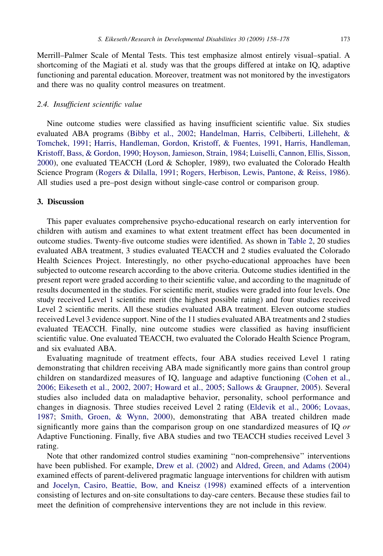Merrill–Palmer Scale of Mental Tests. This test emphasize almost entirely visual–spatial. A shortcoming of the Magiati et al. study was that the groups differed at intake on IQ, adaptive functioning and parental education. Moreover, treatment was not monitored by the investigators and there was no quality control measures on treatment.

### 2.4. Insufficient scientific value

Nine outcome studies were classified as having insufficient scientific value. Six studies evaluated ABA programs ([Bibby et al., 2002;](#page-18-0) [Handelman, Harris, Celbiberti, Lilleheht, &](#page-18-0) [Tomchek, 1991;](#page-18-0) [Harris, Handleman, Gordon, Kristoff, & Fuentes, 1991,](#page-19-0) [Harris, Handleman,](#page-19-0) [Kristoff, Bass, & Gordon, 1990;](#page-19-0) [Hoyson, Jamieson, Strain, 1984;](#page-19-0) [Luiselli, Cannon, Ellis, Sisson,](#page-19-0) [2000](#page-19-0)), one evaluated TEACCH (Lord & Schopler, 1989), two evaluated the Colorado Health Science Program [\(Rogers & Dilalla, 1991](#page-20-0); [Rogers, Herbison, Lewis, Pantone, & Reiss, 1986](#page-20-0)). All studies used a pre–post design without single-case control or comparison group.

#### 3. Discussion

This paper evaluates comprehensive psycho-educational research on early intervention for children with autism and examines to what extent treatment effect has been documented in outcome studies. Twenty-five outcome studies were identified. As shown in [Table 2](#page-6-0), 20 studies evaluated ABA treatment, 3 studies evaluated TEACCH and 2 studies evaluated the Colorado Health Sciences Project. Interestingly, no other psycho-educational approaches have been subjected to outcome research according to the above criteria. Outcome studies identified in the present report were graded according to their scientific value, and according to the magnitude of results documented in the studies. For scientific merit, studies were graded into four levels. One study received Level 1 scientific merit (the highest possible rating) and four studies received Level 2 scientific merits. All these studies evaluated ABA treatment. Eleven outcome studies received Level 3 evidence support. Nine of the 11 studies evaluated ABA treatments and 2 studies evaluated TEACCH. Finally, nine outcome studies were classified as having insufficient scientific value. One evaluated TEACCH, two evaluated the Colorado Health Science Program, and six evaluated ABA.

Evaluating magnitude of treatment effects, four ABA studies received Level 1 rating demonstrating that children receiving ABA made significantly more gains than control group children on standardized measures of IQ, language and adaptive functioning ([Cohen et al.,](#page-18-0) [2006; Eikeseth et al., 2002, 2007; Howard et al., 2005;](#page-18-0) [Sallows & Graupner, 2005](#page-20-0)). Several studies also included data on maladaptive behavior, personality, school performance and changes in diagnosis. Three studies received Level 2 rating [\(Eldevik et al., 2006; Lovaas,](#page-18-0) [1987;](#page-18-0) [Smith, Groen, & Wynn, 2000\)](#page-20-0), demonstrating that ABA treated children made significantly more gains than the comparison group on one standardized measures of IQ or Adaptive Functioning. Finally, five ABA studies and two TEACCH studies received Level 3 rating.

Note that other randomized control studies examining ''non-comprehensive'' interventions have been published. For example, [Drew et al. \(2002\)](#page-18-0) and [Aldred, Green, and Adams \(2004\)](#page-18-0) examined effects of parent-delivered pragmatic language interventions for children with autism and [Jocelyn, Casiro, Beattie, Bow, and Kneisz \(1998\)](#page-19-0) examined effects of a intervention consisting of lectures and on-site consultations to day-care centers. Because these studies fail to meet the definition of comprehensive interventions they are not include in this review.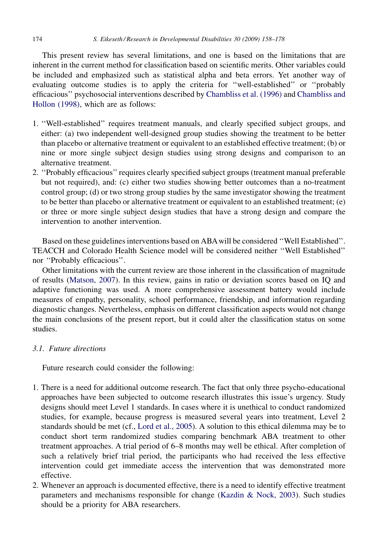This present review has several limitations, and one is based on the limitations that are inherent in the current method for classification based on scientific merits. Other variables could be included and emphasized such as statistical alpha and beta errors. Yet another way of evaluating outcome studies is to apply the criteria for ''well-established'' or ''probably efficacious'' psychosocial interventions described by [Chambliss et al. \(1996\)](#page-18-0) and [Chambliss and](#page-18-0) [Hollon \(1998\)](#page-18-0), which are as follows:

- 1. ''Well-established'' requires treatment manuals, and clearly specified subject groups, and either: (a) two independent well-designed group studies showing the treatment to be better than placebo or alternative treatment or equivalent to an established effective treatment; (b) or nine or more single subject design studies using strong designs and comparison to an alternative treatment.
- 2. ''Probably efficacious'' requires clearly specified subject groups (treatment manual preferable but not required), and: (c) either two studies showing better outcomes than a no-treatment control group; (d) or two strong group studies by the same investigator showing the treatment to be better than placebo or alternative treatment or equivalent to an established treatment; (e) or three or more single subject design studies that have a strong design and compare the intervention to another intervention.

Based on these guidelines interventions based on ABAwill be considered ''Well Established''. TEACCH and Colorado Health Science model will be considered neither ''Well Established'' nor ''Probably efficacious''.

Other limitations with the current review are those inherent in the classification of magnitude of results ([Matson, 2007](#page-19-0)). In this review, gains in ratio or deviation scores based on IQ and adaptive functioning was used. A more comprehensive assessment battery would include measures of empathy, personality, school performance, friendship, and information regarding diagnostic changes. Nevertheless, emphasis on different classification aspects would not change the main conclusions of the present report, but it could alter the classification status on some studies.

# 3.1. Future directions

Future research could consider the following:

- 1. There is a need for additional outcome research. The fact that only three psycho-educational approaches have been subjected to outcome research illustrates this issue's urgency. Study designs should meet Level 1 standards. In cases where it is unethical to conduct randomized studies, for example, because progress is measured several years into treatment, Level 2 standards should be met (cf., [Lord et al., 2005\)](#page-19-0). A solution to this ethical dilemma may be to conduct short term randomized studies comparing benchmark ABA treatment to other treatment approaches. A trial period of 6–8 months may well be ethical. After completion of such a relatively brief trial period, the participants who had received the less effective intervention could get immediate access the intervention that was demonstrated more effective.
- 2. Whenever an approach is documented effective, there is a need to identify effective treatment parameters and mechanisms responsible for change [\(Kazdin & Nock, 2003](#page-19-0)). Such studies should be a priority for ABA researchers.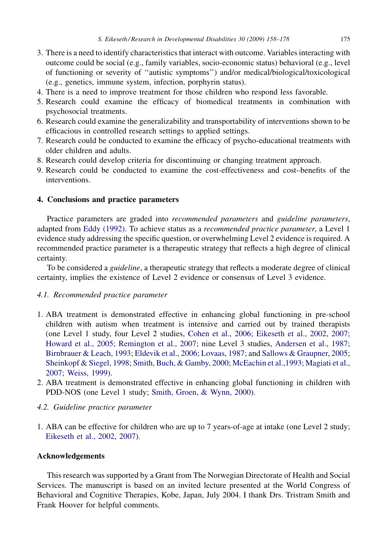- 3. There is a need to identify characteristics that interact with outcome. Variables interacting with outcome could be social (e.g., family variables, socio-economic status) behavioral (e.g., level of functioning or severity of ''autistic symptoms'') and/or medical/biological/toxicological (e.g., genetics, immune system, infection, porphyrin status).
- 4. There is a need to improve treatment for those children who respond less favorable.
- 5. Research could examine the efficacy of biomedical treatments in combination with psychosocial treatments.
- 6. Research could examine the generalizability and transportability of interventions shown to be efficacious in controlled research settings to applied settings.
- 7. Research could be conducted to examine the efficacy of psycho-educational treatments with older children and adults.
- 8. Research could develop criteria for discontinuing or changing treatment approach.
- 9. Research could be conducted to examine the cost-effectiveness and cost–benefits of the interventions.

## 4. Conclusions and practice parameters

Practice parameters are graded into recommended parameters and guideline parameters, adapted from [Eddy \(1992\).](#page-18-0) To achieve status as a recommended practice parameter, a Level 1 evidence study addressing the specific question, or overwhelming Level 2 evidence is required. A recommended practice parameter is a therapeutic strategy that reflects a high degree of clinical certainty.

To be considered a guideline, a therapeutic strategy that reflects a moderate degree of clinical certainty, implies the existence of Level 2 evidence or consensus of Level 3 evidence.

### 4.1. Recommended practice parameter

- 1. ABA treatment is demonstrated effective in enhancing global functioning in pre-school children with autism when treatment is intensive and carried out by trained therapists (one Level 1 study, four Level 2 studies, [Cohen et al., 2006; Eikeseth et al., 2002, 2007;](#page-18-0) [Howard et al., 2005; Remington et al., 2007](#page-18-0); nine Level 3 studies, [Andersen et al., 1987](#page-18-0); [Birnbrauer & Leach, 1993](#page-18-0); [Eldevik et al., 2006; Lovaas, 1987;](#page-18-0) and [Sallows & Graupner, 2005](#page-20-0); [Sheinkopf & Siegel, 1998](#page-20-0); [Smith, Buch, & Gamby, 2000](#page-20-0); [McEachin et al.,1993; Magiati et al.,](#page-20-0) [2007; Weiss, 1999\)](#page-20-0).
- 2. ABA treatment is demonstrated effective in enhancing global functioning in children with PDD-NOS (one Level 1 study; [Smith, Groen, & Wynn, 2000\)](#page-20-0).
- 4.2. Guideline practice parameter
- 1. ABA can be effective for children who are up to 7 years-of-age at intake (one Level 2 study; [Eikeseth et al., 2002, 2007\)](#page-18-0).

#### Acknowledgements

This research was supported by a Grant from The Norwegian Directorate of Health and Social Services. The manuscript is based on an invited lecture presented at the World Congress of Behavioral and Cognitive Therapies, Kobe, Japan, July 2004. I thank Drs. Tristram Smith and Frank Hoover for helpful comments.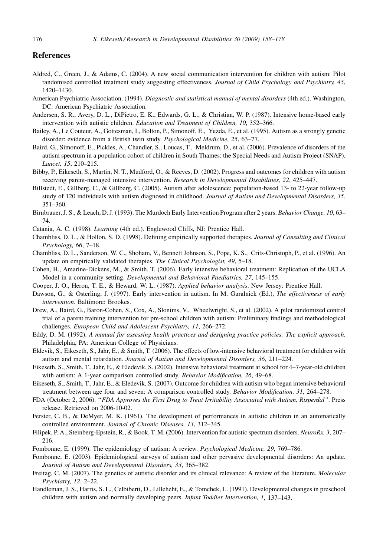#### <span id="page-18-0"></span>References

- Aldred, C., Green, J., & Adams, C. (2004). A new social communication intervention for children with autism: Pilot randomised controlled treatment study suggesting effectiveness. Journal of Child Psychology and Psychiatry, 45, 1420–1430.
- American Psychiatric Association. (1994). Diagnostic and statistical manual of mental disorders (4th ed.). Washington, DC: American Psychiatric Association.
- Andersen, S. R., Avery, D. L., DiPietro, E. K., Edwards, G. L., & Christian, W. P. (1987). Intensive home-based early intervention with autistic children. Education and Treatment of Children, 10, 352–366.
- Bailey, A., Le Couteur, A., Gottesman, I., Bolton, P., Simonoff, E., Yuzda, E., et al. (1995). Autism as a strongly genetic disorder: evidence from a British twin study. Psychological Medicine, 25, 63-77.
- Baird, G., Simonoff, E., Pickles, A., Chandler, S., Loucas, T., Meldrum, D., et al. (2006). Prevalence of disorders of the autism spectrum in a population cohort of children in South Thames: the Special Needs and Autism Project (SNAP). Lancet, 15, 210–215.
- Bibby, P., Eikeseth, S., Martin, N. T., Mudford, O., & Reeves, D. (2002). Progress and outcomes for children with autism receiving parent-managed intensive intervention. Research in Developmental Disabilities, 22, 425–447.
- Billstedt, E., Gillberg, C., & Gillberg, C. (2005). Autism after adolescence: population-based 13- to 22-year follow-up study of 120 individuals with autism diagnosed in childhood. Journal of Autism and Developmental Disorders, 35, 351–360.
- Birnbrauer, J. S., & Leach, D. J. (1993). The Murdoch Early Intervention Program after 2 years. Behavior Change, 10, 63– 74.
- Catania, A. C. (1998). Learning (4th ed.). Englewood Cliffs, NJ: Prentice Hall.
- Chambliss, D. L., & Hollon, S. D. (1998). Defining empirically supported therapies. Journal of Consulting and Clinical Psychology, 66, 7–18.
- Chambliss, D. L., Sanderson, W. C., Shoham, V., Bennett Johnson, S., Pope, K. S., Crits-Christoph, P., et al. (1996). An update on empirically validated therapies. The Clinical Psychologist, 49, 5-18.
- Cohen, H., Amarine-Dickens, M., & Smith, T. (2006). Early intensive behavioral treatment: Replication of the UCLA Model in a community setting. Developmental and Behavioral Paediatrics, 27, 145–155.
- Cooper, J. O., Heron, T. E., & Heward, W. L. (1987). Applied behavior analysis. New Jersey: Prentice Hall.
- Dawson, G., & Osterling, J. (1997). Early intervention in autism. In M. Guralnick (Ed.), The effectiveness of early intervention. Baltimore: Brookes.
- Drew, A., Baird, G., Baron-Cohen, S., Cox, A., Slonims, V., Wheelwright, S., et al. (2002). A pilot randomized control trial of a parent training intervention for pre-school children with autism: Preliminary findings and methodological challenges. European Child and Adolescent Psychiatry, 11, 266–272.
- Eddy, D. M. (1992). A manual for assessing health practices and designing practice policies: The explicit approach. Philadelphia, PA: American College of Physicians.
- Eldevik, S., Eikeseth, S., Jahr, E., & Smith, T. (2006). The effects of low-intensive behavioral treatment for children with autism and mental retardation. Journal of Autism and Developmental Disorders, 36, 211–224.
- Eikeseth, S., Smith, T., Jahr, E., & Eledevik, S. (2002). Intensive behavioral treatment at school for 4–7-year-old children with autism: A 1-year comparison controlled study. Behavior Modification, 26, 49–68.
- Eikeseth, S., Smith, T., Jahr, E., & Eledevik, S. (2007). Outcome for children with autism who began intensive behavioral treatment between age four and seven: A comparison controlled study. Behavior Modification, 31, 264–278.
- FDA (October 2, 2006). ''FDA Approves the First Drug to Treat Irritability Associated with Autism, Risperdal''. Press release. Retrieved on 2006-10-02.
- Ferster, C. B., & DeMyer, M. K. (1961). The development of performances in autistic children in an automatically controlled environment. Journal of Chronic Diseases, 13, 312–345.
- Filipek, P. A., Steinberg-Epstein, R., & Book, T. M. (2006). Intervention for autistic spectrum disorders. NeuroRx, 3, 207– 216.
- Fombonne, E. (1999). The epidemiology of autism: A review. Psychological Medicine, 29, 769–786.
- Fombonne, E. (2003). Epidemiological surveys of autism and other pervasive developmental disorders: An update. Journal of Autism and Developmental Disorders, 33, 365–382.
- Freitag, C. M. (2007). The genetics of autistic disorder and its clinical relevance: A review of the literature. Molecular Psychiatry, 12, 2–22.
- Handleman, J. S., Harris, S. L., Celbiberti, D., Lilleheht, E., & Tomchek, L. (1991). Developmental changes in preschool children with autism and normally developing peers. *Infant Toddler Intervention*, 1, 137–143.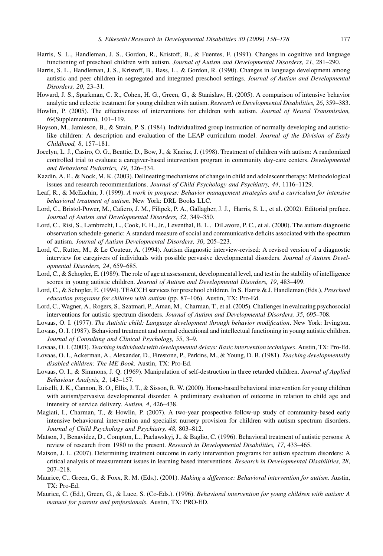- <span id="page-19-0"></span>Harris, S. L., Handleman, J. S., Gordon, R., Kristoff, B., & Fuentes, F. (1991). Changes in cognitive and language functioning of preschool children with autism. Journal of Autism and Developmental Disorders, 21, 281–290.
- Harris, S. L., Handleman, J. S., Kristoff, B., Bass, L., & Gordon, R. (1990). Changes in language development among autistic and peer children in segregated and integrated preschool settings. Journal of Autism and Developmental Disorders, 20, 23–31.
- Howard, J. S., Sparkman, C. R., Cohen, H. G., Green, G., & Stanislaw, H. (2005). A comparison of intensive behavior analytic and eclectic treatment for young children with autism. Research in Developmental Disabilities, 26, 359-383.
- Howlin, P. (2005). The effectiveness of interventions for children with autism. Journal of Neural Transmission, 69(Supplementum), 101–119.
- Hoyson, M., Jamieson, B., & Strain, P. S. (1984). Individualized group instruction of normally developing and autisticlike children: A description and evaluation of the LEAP curriculum model. Journal of the Division of Early Childhood, 8, 157–181.
- Jocelyn, L. J., Casiro, O. G., Beattie, D., Bow, J., & Kneisz, J. (1998). Treatment of children with autism: A randomized controlled trial to evaluate a caregiver-based intervention program in community day-care centers. Developmental and Behavioral Pediatrics, 19, 326–334.
- Kazdin, A. E., & Nock, M. K. (2003). Delineating mechanisms of change in child and adolescent therapy: Methodological issues and research recommendations. Journal of Child Psychology and Psychiatry, 44, 1116–1129.
- Leaf, R., & McEachin, J. (1999). A work in progress: Behavior management strategies and a curriculum for intensive behavioral treatment of autism. New York: DRL Books LLC.
- Lord, C., Bristol-Power, M., Cafiero, J. M., Filipek, P. A., Gallagher, J. J., Harris, S. L., et al. (2002). Editorial preface. Journal of Autism and Developmental Disorders, 32, 349–350.
- Lord, C., Risi, S., Lambrecht, L., Cook, E. H., Jr., Leventhal, B. L., DiLavore, P. C., et al. (2000). The autism diagnostic observation schedule-generic: A standard measure of social and communicative deficits associated with the spectrum of autism. Journal of Autism Developmental Disorders, 30, 205–223.
- Lord, C., Rutter, M., & Le Couteur, A. (1994). Autism diagnostic interview-revised: A revised version of a diagnostic interview for caregivers of individuals with possible pervasive developmental disorders. Journal of Autism Developmental Disorders, 24, 659–685.
- Lord, C., & Schopler, E. (1989). The role of age at assessment, developmental level, and test in the stability of intelligence scores in young autistic children. Journal of Autism and Developmental Disorders, 19, 483-499.
- Lord, C., & Schopler, E. (1994). TEACCH services for preschool children. In S. Harris & J. Handleman (Eds.), Preschool education programs for children with autism (pp. 87–106). Austin, TX: Pro-Ed.
- Lord, C., Wagner, A., Rogers, S., Szatmari, P., Aman, M., Charman, T., et al. (2005). Challenges in evaluating psychosocial interventions for autistic spectrum disorders. Journal of Autism and Developmental Disorders, 35, 695-708.
- Lovaas, O. I. (1977). The Autistic child: Language development through behavior modification. New York: Irvington.
- Lovaas, O. I. (1987). Behavioral treatment and normal educational and intellectual functioning in young autistic children. Journal of Consulting and Clinical Psychology, 55, 3–9.
- Lovaas, O. I. (2003). Teaching individuals with developmental delays: Basic intervention techniques. Austin, TX: Pro-Ed.
- Lovaas, O. I., Ackerman, A., Alexander, D., Firestone, P., Perkins, M., & Young, D. B. (1981). Teaching developmentally disabled children: The ME Book. Austin, TX: Pro-Ed.
- Lovaas, O. I., & Simmons, J. Q. (1969). Manipulation of self-destruction in three retarded children. Journal of Applied Behaviour Analysis, 2, 143–157.
- Luiselli, J. K., Cannon, B. O., Ellis, J. T., & Sisson, R. W. (2000). Home-based behavioral intervention for young children with autism/pervasive developmental disorder. A preliminary evaluation of outcome in relation to child age and intensity of service delivery. Autism, 4, 426–438.
- Magiati, I., Charman, T., & Howlin, P. (2007). A two-year prospective follow-up study of community-based early intensive behavioural intervention and specialist nursery provision for children with autism spectrum disorders. Journal of Child Psychology and Psychiatry, 48, 803–812.
- Matson, J., Benavidez, D., Compton, L., Paclawskyj, J., & Baglio, C. (1996). Behavioral treatment of autistic persons: A review of research from 1980 to the present. Research in Developmental Disabilities, 17, 433-465.
- Matson, J. L. (2007). Determining treatment outcome in early intervention programs for autism spectrum disorders: A critical analysis of measurement issues in learning based interventions. Research in Developmental Disabilities, 28, 207–218.
- Maurice, C., Green, G., & Foxx, R. M. (Eds.). (2001). Making a difference: Behavioral intervention for autism. Austin, TX: Pro-Ed.
- Maurice, C. (Ed.), Green, G., & Luce, S. (Co-Eds.). (1996). Behavioral intervention for young children with autism: A manual for parents and professionals. Austin, TX: PRO-ED.